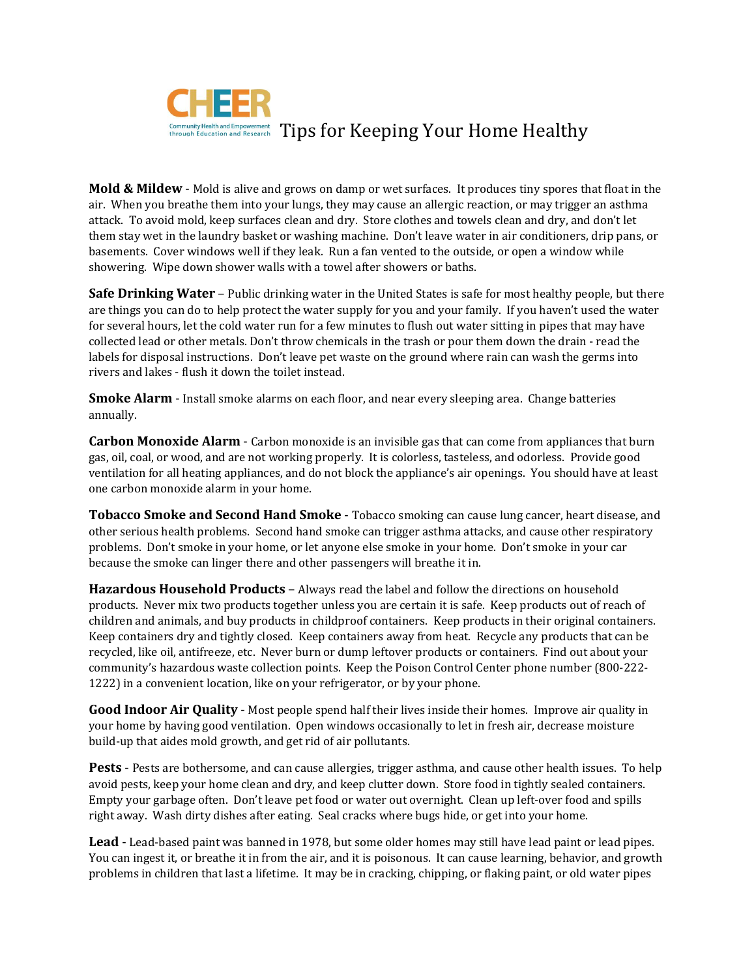

**Mold & Mildew** - Mold is alive and grows on damp or wet surfaces. It produces tiny spores that float in the air. When you breathe them into your lungs, they may cause an allergic reaction, or may trigger an asthma attack. To avoid mold, keep surfaces clean and dry. Store clothes and towels clean and dry, and don't let them stay wet in the laundry basket or washing machine. Don't leave water in air conditioners, drip pans, or basements. Cover windows well if they leak. Run a fan vented to the outside, or open a window while showering. Wipe down shower walls with a towel after showers or baths.

**Safe Drinking Water** – Public drinking water in the United States is safe for most healthy people, but there are things you can do to help protect the water supply for you and your family. If you haven't used the water for several hours, let the cold water run for a few minutes to flush out water sitting in pipes that may have collected lead or other metals. Don't throw chemicals in the trash or pour them down the drain - read the labels for disposal instructions. Don't leave pet waste on the ground where rain can wash the germs into rivers and lakes - flush it down the toilet instead.

**Smoke Alarm** - Install smoke alarms on each floor, and near every sleeping area. Change batteries annually.

**Carbon Monoxide Alarm** - Carbon monoxide is an invisible gas that can come from appliances that burn gas, oil, coal, or wood, and are not working properly. It is colorless, tasteless, and odorless. Provide good ventilation for all heating appliances, and do not block the appliance's air openings. You should have at least one carbon monoxide alarm in your home.

**Tobacco Smoke and Second Hand Smoke** - Tobacco smoking can cause lung cancer, heart disease, and other serious health problems. Second hand smoke can trigger asthma attacks, and cause other respiratory problems. Don't smoke in your home, or let anyone else smoke in your home. Don't smoke in your car because the smoke can linger there and other passengers will breathe it in.

**Hazardous Household Products** – Always read the label and follow the directions on household products. Never mix two products together unless you are certain it is safe. Keep products out of reach of children and animals, and buy products in childproof containers. Keep products in their original containers. Keep containers dry and tightly closed. Keep containers away from heat. Recycle any products that can be recycled, like oil, antifreeze, etc. Never burn or dump leftover products or containers. Find out about your community's hazardous waste collection points. Keep the Poison Control Center phone number (800-222- 1222) in a convenient location, like on your refrigerator, or by your phone.

**Good Indoor Air Quality** - Most people spend half their lives inside their homes. Improve air quality in your home by having good ventilation. Open windows occasionally to let in fresh air, decrease moisture build-up that aides mold growth, and get rid of air pollutants.

**Pests** - Pests are bothersome, and can cause allergies, trigger asthma, and cause other health issues. To help avoid pests, keep your home clean and dry, and keep clutter down. Store food in tightly sealed containers. Empty your garbage often. Don't leave pet food or water out overnight. Clean up left-over food and spills right away. Wash dirty dishes after eating. Seal cracks where bugs hide, or get into your home.

**Lead** - Lead-based paint was banned in 1978, but some older homes may still have lead paint or lead pipes. You can ingest it, or breathe it in from the air, and it is poisonous. It can cause learning, behavior, and growth problems in children that last a lifetime. It may be in cracking, chipping, or flaking paint, or old water pipes